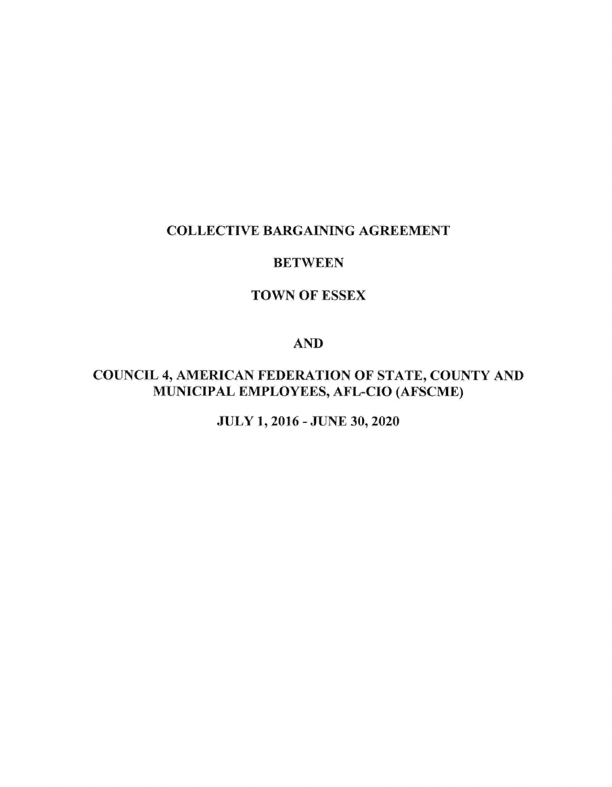# **COLLECTIVE BARGAINING AGREEMENT**

# **BETWEEN**

# **TOWN OF ESSEX**

# **AND**

# **COUNCIL 4, AMERICAN FEDERATION OF STATE, COUNTY AND** MUNICIPAL EMPLOYEES, AFL-CIO (AFSCME)

JULY 1, 2016 - JUNE 30, 2020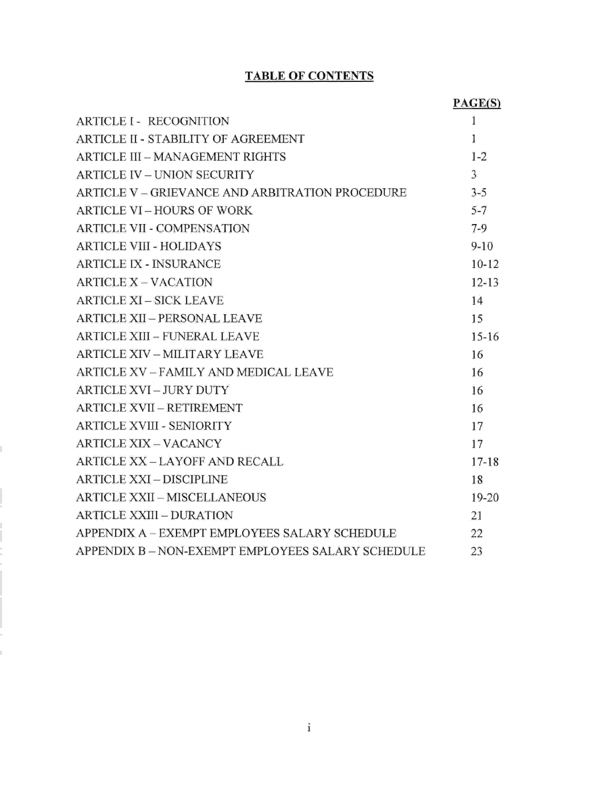## TABLE OF CONTENTS

|                                                 | PAGE(S)        |
|-------------------------------------------------|----------------|
| <b>ARTICLE I - RECOGNITION</b>                  | 1              |
| ARTICLE II - STABILITY OF AGREEMENT             | 1              |
| ARTICLE III - MANAGEMENT RIGHTS                 | $1 - 2$        |
| <b>ARTICLE IV - UNION SECURITY</b>              | $\overline{3}$ |
| ARTICLE V – GRIEVANCE AND ARBITRATION PROCEDURE | $3 - 5$        |
| ARTICLE VI - HOURS OF WORK                      | $5 - 7$        |
| <b>ARTICLE VII - COMPENSATION</b>               | $7-9$          |
| <b>ARTICLE VIII - HOLIDAYS</b>                  | $9 - 10$       |
| <b>ARTICLE IX - INSURANCE</b>                   | $10 - 12$      |
| <b>ARTICLE X - VACATION</b>                     | $12 - 13$      |
| <b>ARTICLE XI - SICK LEAVE</b>                  | 14             |
| <b>ARTICLE XII - PERSONAL LEAVE</b>             | 15             |
| ARTICLE XIII - FUNERAL LEAVE                    | $15 - 16$      |
| <b>ARTICLE XIV - MILITARY LEAVE</b>             | 16             |
| ARTICLE XV - FAMILY AND MEDICAL LEAVE           | 16             |
| <b>ARTICLE XVI - JURY DUTY</b>                  | 16             |
| ARTICLE XVII - RETIREMENT                       | 16             |
| <b>ARTICLE XVIII - SENIORITY</b>                | 17             |
| <b>ARTICLE XIX - VACANCY</b>                    | 17             |
| ARTICLE XX - LAYOFF AND RECALL                  | $17 - 18$      |
| <b>ARTICLE XXI - DISCIPLINE</b>                 | 18             |
| ARTICLE XXII - MISCELLANEOUS                    | 19-20          |
| <b>ARTICLE XXIII - DURATION</b>                 | 21             |
| APPENDIX A - EXEMPT EMPLOYEES SALARY SCHEDULE   | 22             |
| APPENDIX B-NON-EXEMPT EMPLOYEES SALARY SCHEDULE | 23             |

Ï

 $\mathbf{i}$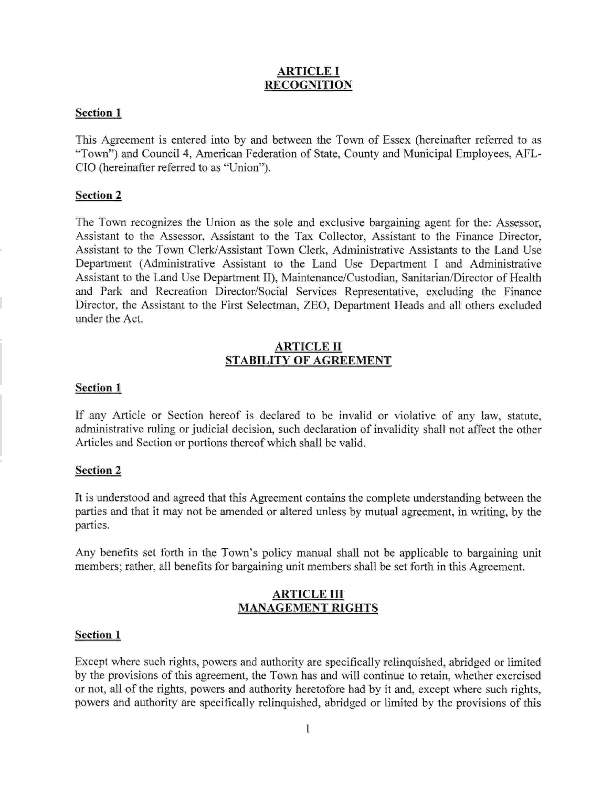### ARTICLE I **RECOGNITION**

#### Section I

This Agreement is entered into by and between the Town of Essex (hereinafter referred to as "Town") and Council 4, American Federation of State, County and Municipal Employees, AFL-CIO (hereinafter referred to as "Union").

#### Section 2

The Town recognizes the Union as the sole and exclusive bargaining agent for the: Assessor, Assistant to the Assessor, Assistant to the Tax Collector, Assistant to the Finance Director, Assistant to the Town Clerk/Assistant Town Clerk, Administrative Assistants to the Land Use Department (Administrative Assistant to the Land Use Department I and Administrative Assistant to the Land Use Department II), Maintenance/Custodian, Sanitarian/Director of Health and Park and Recreation Director/Social Services Representative, excluding the Finance Director, the Assistant to the First Selectman, ZEO, Department Heads and all others excluded under the Act.

#### ARTICLE II STABILITY OF AGREEMENT

#### Section 1

If any Article or Section hereof is declared to be invalid or violative of any law, statute, administrative ruling or judicial decision, such declaration of invalidity shall not affect the other Articles and Section or portions thereof which shall be valid.

#### Section 2

It is understood and agreed that this Agreement contains the complete understanding between the parties and that it may not be amended or altered unless by mutual agreement, in writing, by the parties.

Any benefits set forth in the Town's policy manual shall not be applicable to bargaining unit members; rather, all benefits for bargaining unit members shall be set forth in this Agreement.

#### ARTICLE III MANAGEMENT RIGHTS

#### Section <sup>1</sup>

Except where such rights, powers and authority are specifically relinquished, abridged or limited by the provisions of this agreement, the Town has and will continue to retain, whether exercised or not, all of the rights, powers and authority heretofore had by it and, except where such rights, powers and authority are specifically relinquished, abridged or limited by the provisions of this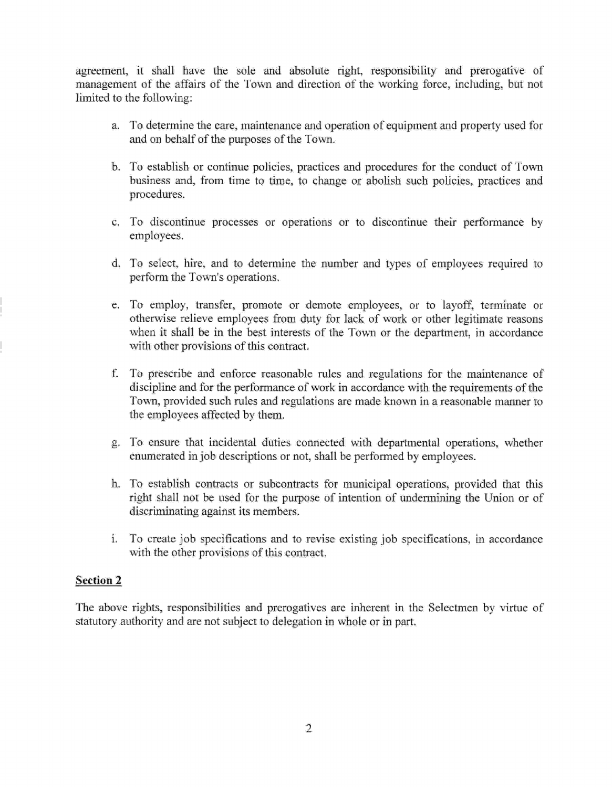agreement, it shall have the sole and absolute right, responsibility and prerogative of management of the affairs of the Town and direction of the working force, including, but not limited to the following:

- a. To determine the care, maintenance and operation of equipment and property used for and on behalf of the purposes of the Town.
- b. To establish or continue policies, practices and procedures for the conduct of Town business and, from time to time, to change or abolish such policies, practices and procedures.
- c. To discontinue processes or operations or to discontinue their performance by employees.
- d. To select, hire, and to determine the number and types of employees required to perform the Town's operations.
- e. To employ, transfer, promote or demote employees, or to layoff, terminate or otherwise relieve employees from duty for lack of work or other legitimate reasons when it shall be in the best interests of the Town or the department, in accordance with other provisions of this contract.
- f. To prescribe and enforce reasonable rules and regulations for the maintenance of discipline and for the performance of work in accordance with the requirements of the Town, provided such rules and regulations are made known in a reasonable manner to the employees affected by them.
- g. To ensure that incidental duties connected with departmental operations, whether enumerated in job descriptions or not, shall be performed by employees.
- h. To establish contracts or subcontracts for municipal operations, provided that this right shall not be used for the purpose of intention of undermining the Union or of discriminating against its members.
- To create job specifications and to revise existing job specifications, in accordance t. with the other provisions of this contract.

## Section 2

The above rights, responsibilities and prerogatives are inherent in the Selectmen by virtue of statutory authority and are not subject to delegation in whole or in part.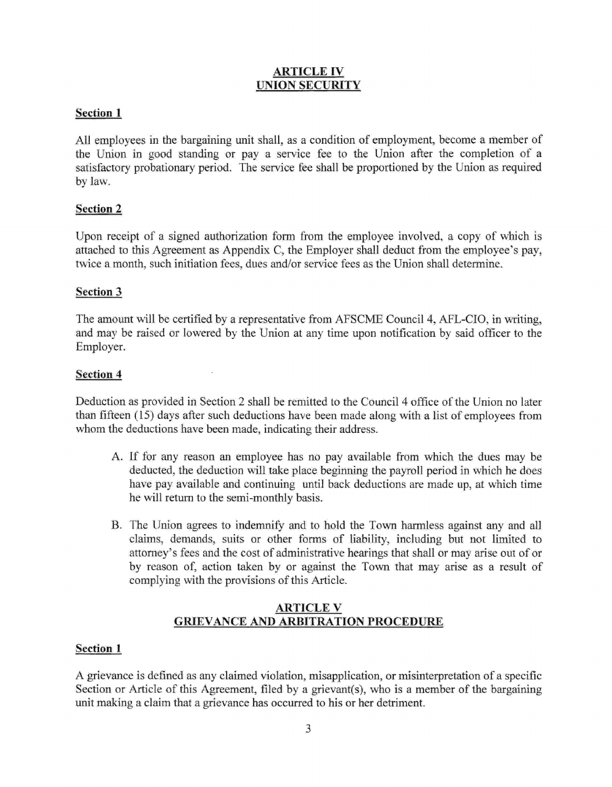## ARTICLE IV UNION SECURITY

## Section 1

All employees in the bargaining unit shall, as a condition of employment, become a member of the Union in good standing or pay a service fee to the Union after the completion of <sup>a</sup> satisfactory probationary period. The service fee shall be proportioned by the Union as required by law.

## Section 2

Upon receipt of a signed authorization form from the employee involved, a copy of which is attached to this Agreement as Appendix C, the Employer shall deduct from the employee's pay, twice a month, such initiation fees, dues and/or service fees as the Union shall determine.

## Section 3

The amount will be certified by a representative from AFSCME Council 4, AFL-CIO, in writing, and may be raised or lowered by the Union at any time upon notification by said offrcer to the Employer.

## Section 4

Deduction as provided in Section 2 shall be remitted to the Council 4 office of the Union no later than fifteen (15) days after such deductions have been made along with a list of employees from whom the deductions have been made, indicating their address.

- A. If for any reason an employee has no pay available from which the dues may be deducted, the deduction will take place beginning the payroll period in which he does have pay available and continuing until back deductions are made up, at which time he will return to the semi-monthly basis.
- B. The Union agrees to indemnify and to hold the Town harmless against any and all claims, demands, suits or other forms of liability, including but not limited to attorney's fees and the cost of administrative hearings that shall or may arise out of or by reason of, action taken by or against the Town that may arise as a result of complying with the provisions of this Article.

## ARTICLE V GRIEVANCE AND ARBITRATION PROCEDURE

## Section <sup>1</sup>

A grievance is defined as any claimed violation, misapplication, or misinterpretation of a specific Section or Article of this Agreement, filed by a grievant(s), who is a member of the bargaining unit making a claim that a grievance has occurred to his or her detriment.